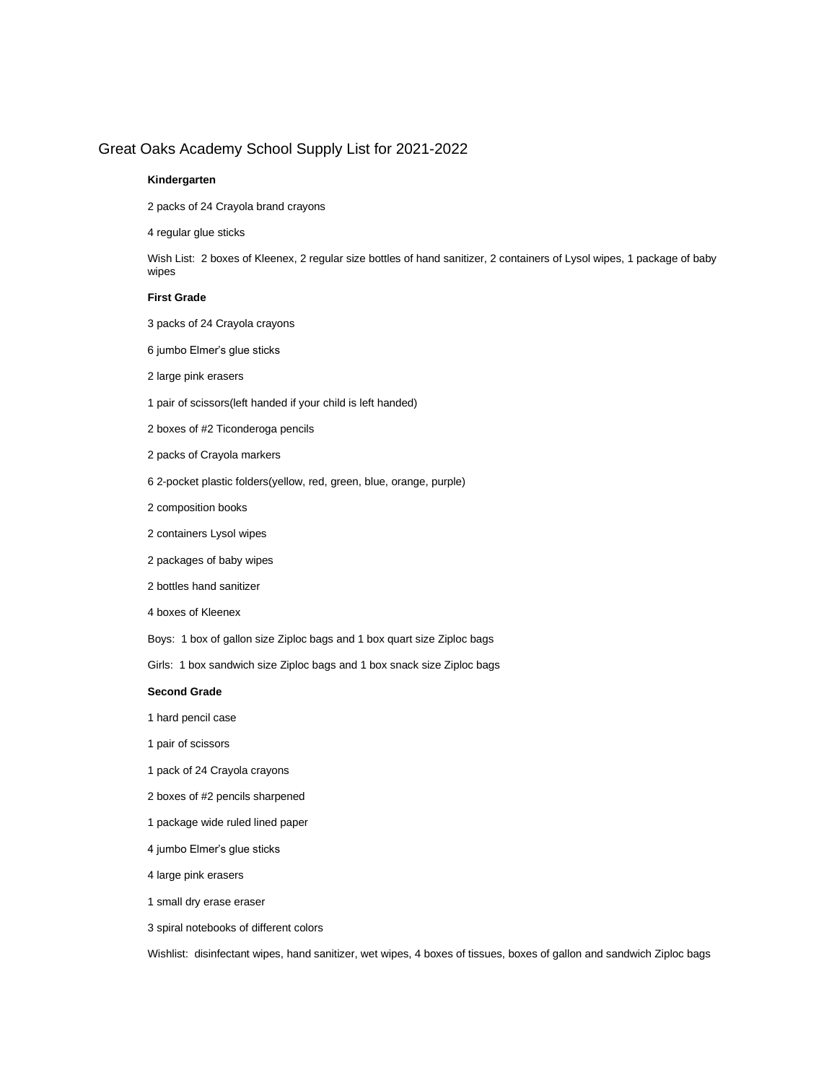### Great Oaks Academy School Supply List for 2021-2022

#### **Kindergarten**

2 packs of 24 Crayola brand crayons

4 regular glue sticks

Wish List: 2 boxes of Kleenex, 2 regular size bottles of hand sanitizer, 2 containers of Lysol wipes, 1 package of baby wipes

#### **First Grade**

- 3 packs of 24 Crayola crayons
- 6 jumbo Elmer's glue sticks
- 2 large pink erasers
- 1 pair of scissors(left handed if your child is left handed)
- 2 boxes of #2 Ticonderoga pencils
- 2 packs of Crayola markers
- 6 2-pocket plastic folders(yellow, red, green, blue, orange, purple)
- 2 composition books
- 2 containers Lysol wipes
- 2 packages of baby wipes
- 2 bottles hand sanitizer
- 4 boxes of Kleenex
- Boys: 1 box of gallon size Ziploc bags and 1 box quart size Ziploc bags
- Girls: 1 box sandwich size Ziploc bags and 1 box snack size Ziploc bags

#### **Second Grade**

- 1 hard pencil case
- 1 pair of scissors
- 1 pack of 24 Crayola crayons
- 2 boxes of #2 pencils sharpened
- 1 package wide ruled lined paper
- 4 jumbo Elmer's glue sticks
- 4 large pink erasers
- 1 small dry erase eraser
- 3 spiral notebooks of different colors

Wishlist: disinfectant wipes, hand sanitizer, wet wipes, 4 boxes of tissues, boxes of gallon and sandwich Ziploc bags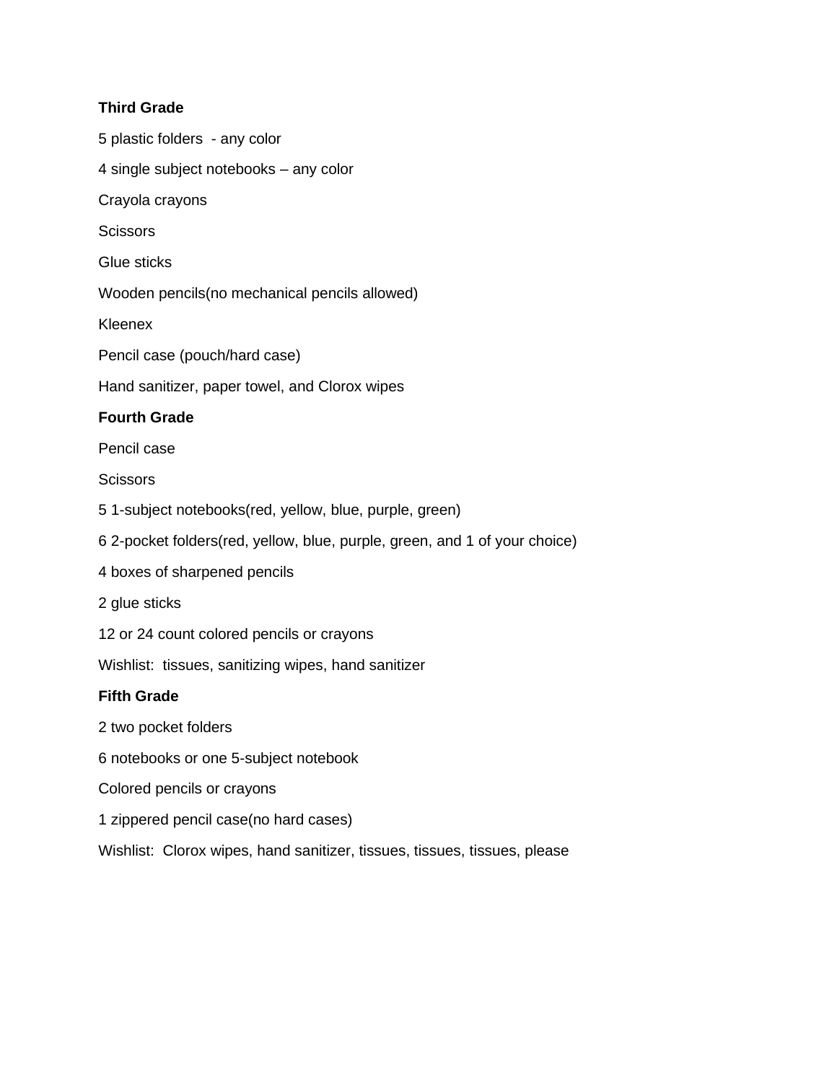## **Third Grade**

5 plastic folders - any color 4 single subject notebooks – any color Crayola crayons **Scissors** Glue sticks Wooden pencils(no mechanical pencils allowed) Kleenex Pencil case (pouch/hard case) Hand sanitizer, paper towel, and Clorox wipes **Fourth Grade** Pencil case **Scissors** 5 1-subject notebooks(red, yellow, blue, purple, green) 6 2-pocket folders(red, yellow, blue, purple, green, and 1 of your choice) 4 boxes of sharpened pencils 2 glue sticks 12 or 24 count colored pencils or crayons Wishlist: tissues, sanitizing wipes, hand sanitizer **Fifth Grade** 2 two pocket folders 6 notebooks or one 5-subject notebook

- Colored pencils or crayons
- 1 zippered pencil case(no hard cases)

Wishlist: Clorox wipes, hand sanitizer, tissues, tissues, tissues, please